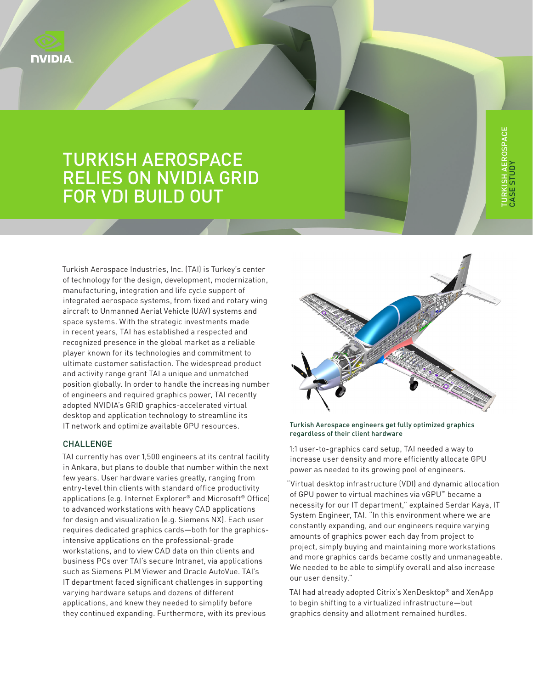

# TURKISH AEROSPACE RELIES ON NVIDIA GRID FOR VDI BUILD OUT

Turkish Aerospace Industries, Inc. (TAI) is Turkey's center of technology for the design, development, modernization, manufacturing, integration and life cycle support of integrated aerospace systems, from fixed and rotary wing aircraft to Unmanned Aerial Vehicle (UAV) systems and space systems. With the strategic investments made in recent years, TAI has established a respected and recognized presence in the global market as a reliable player known for its technologies and commitment to ultimate customer satisfaction. The widespread product and activity range grant TAI a unique and unmatched position globally. In order to handle the increasing number of engineers and required graphics power, TAI recently adopted NVIDIA's GRID graphics-accelerated virtual desktop and application technology to streamline its IT network and optimize available GPU resources.

### CHALLENGE

TAI currently has over 1,500 engineers at its central facility in Ankara, but plans to double that number within the next few years. User hardware varies greatly, ranging from entry-level thin clients with standard office productivity applications (e.g. Internet Explorer® and Microsoft® Office) to advanced workstations with heavy CAD applications for design and visualization (e.g. Siemens NX). Each user requires dedicated graphics cards—both for the graphicsintensive applications on the professional-grade workstations, and to view CAD data on thin clients and business PCs over TAI's secure Intranet, via applications such as Siemens PLM Viewer and Oracle AutoVue. TAI's IT department faced significant challenges in supporting varying hardware setups and dozens of different applications, and knew they needed to simplify before they continued expanding. Furthermore, with its previous



#### Turkish Aerospace engineers get fully optimized graphics regardless of their client hardware

1:1 user-to-graphics card setup, TAI needed a way to increase user density and more efficiently allocate GPU power as needed to its growing pool of engineers.

"Virtual desktop infrastructure (VDI) and dynamic allocation of GPU power to virtual machines via vGPU™ became a necessity for our IT department," explained Serdar Kaya, IT System Engineer, TAI. "In this environment where we are constantly expanding, and our engineers require varying amounts of graphics power each day from project to project, simply buying and maintaining more workstations and more graphics cards became costly and unmanageable. We needed to be able to simplify overall and also increase our user density."

TAI had already adopted Citrix's XenDesktop® and XenApp to begin shifting to a virtualized infrastructure—but graphics density and allotment remained hurdles.